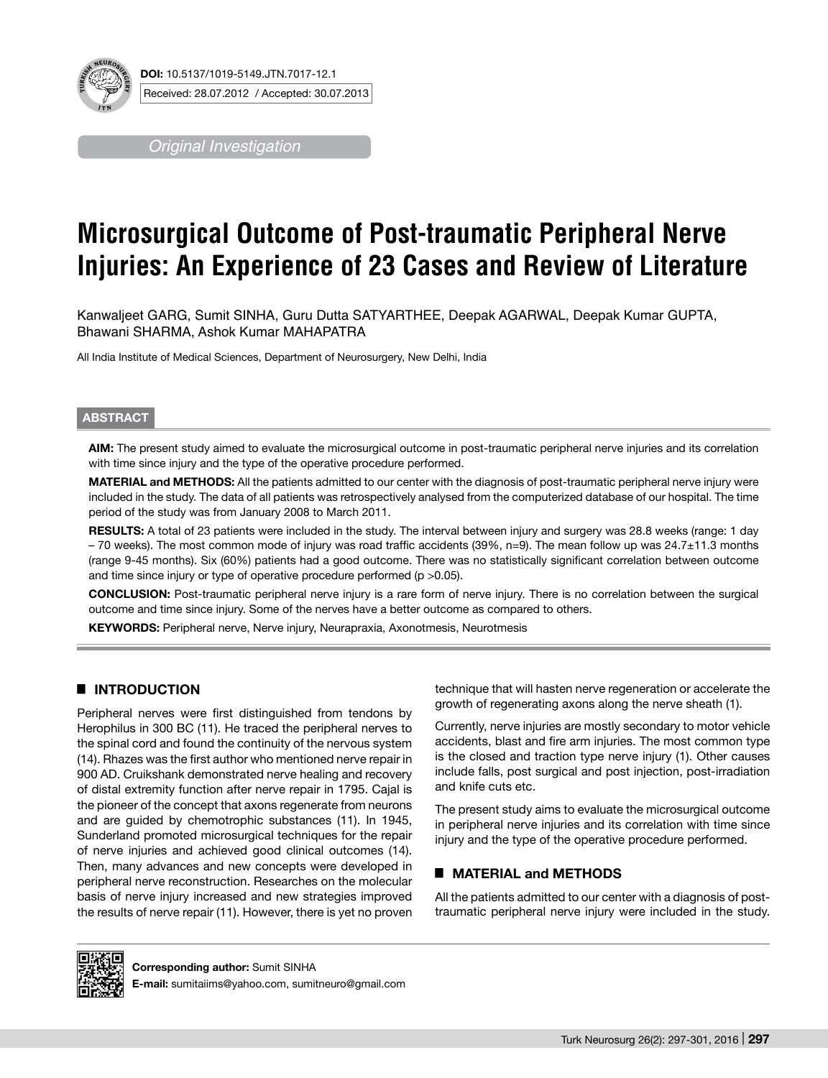

*Original Investigation*

# **Microsurgical Outcome of Post-traumatic Peripheral Nerve Injuries: An Experience of 23 Cases and Review of Literature**

Kanwaljeet GARG, Sumit SINHA, Guru Dutta SATYARTHEE, Deepak AGARWAL, Deepak Kumar GUPTA, Bhawani SHARMA, Ashok Kumar MAHAPATRA

All India Institute of Medical Sciences, Department of Neurosurgery, New Delhi, India

## **ABSTRACT**

**AIm:** The present study aimed to evaluate the microsurgical outcome in post-traumatic peripheral nerve injuries and its correlation with time since injury and the type of the operative procedure performed.

**MaterIal and Methods:** All the patients admitted to our center with the diagnosis of post-traumatic peripheral nerve injury were included in the study. The data of all patients was retrospectively analysed from the computerized database of our hospital. The time period of the study was from January 2008 to March 2011.

RESULTS: A total of 23 patients were included in the study. The interval between injury and surgery was 28.8 weeks (range: 1 day – 70 weeks). The most common mode of injury was road traffic accidents (39%, n=9). The mean follow up was 24.7±11.3 months (range 9-45 months). Six (60%) patients had a good outcome. There was no statistically significant correlation between outcome and time since injury or type of operative procedure performed (p >0.05).

**ConclusIon:** Post-traumatic peripheral nerve injury is a rare form of nerve injury. There is no correlation between the surgical outcome and time since injury. Some of the nerves have a better outcome as compared to others.

**Keywords:** Peripheral nerve, Nerve injury, Neurapraxia, Axonotmesis, Neurotmesis

# █ **INTRODUCTION**

Peripheral nerves were first distinguished from tendons by Herophilus in 300 BC (11). He traced the peripheral nerves to the spinal cord and found the continuity of the nervous system (14). Rhazes was the first author who mentioned nerve repair in 900 AD. Cruikshank demonstrated nerve healing and recovery of distal extremity function after nerve repair in 1795. Cajal is the pioneer of the concept that axons regenerate from neurons and are guided by chemotrophic substances (11). In 1945, Sunderland promoted microsurgical techniques for the repair of nerve injuries and achieved good clinical outcomes (14). Then, many advances and new concepts were developed in peripheral nerve reconstruction. Researches on the molecular basis of nerve injury increased and new strategies improved the results of nerve repair (11). However, there is yet no proven technique that will hasten nerve regeneration or accelerate the growth of regenerating axons along the nerve sheath (1).

Currently, nerve injuries are mostly secondary to motor vehicle accidents, blast and fire arm injuries. The most common type is the closed and traction type nerve injury (1). Other causes include falls, post surgical and post injection, post-irradiation and knife cuts etc.

The present study aims to evaluate the microsurgical outcome in peripheral nerve injuries and its correlation with time since injury and the type of the operative procedure performed.

## █ **MATERIAL and METHODS**

All the patients admitted to our center with a diagnosis of posttraumatic peripheral nerve injury were included in the study.



**Corresponding author:** Sumit SINHA

**E-mail:** sumitaiims@yahoo.com, sumitneuro@gmail.com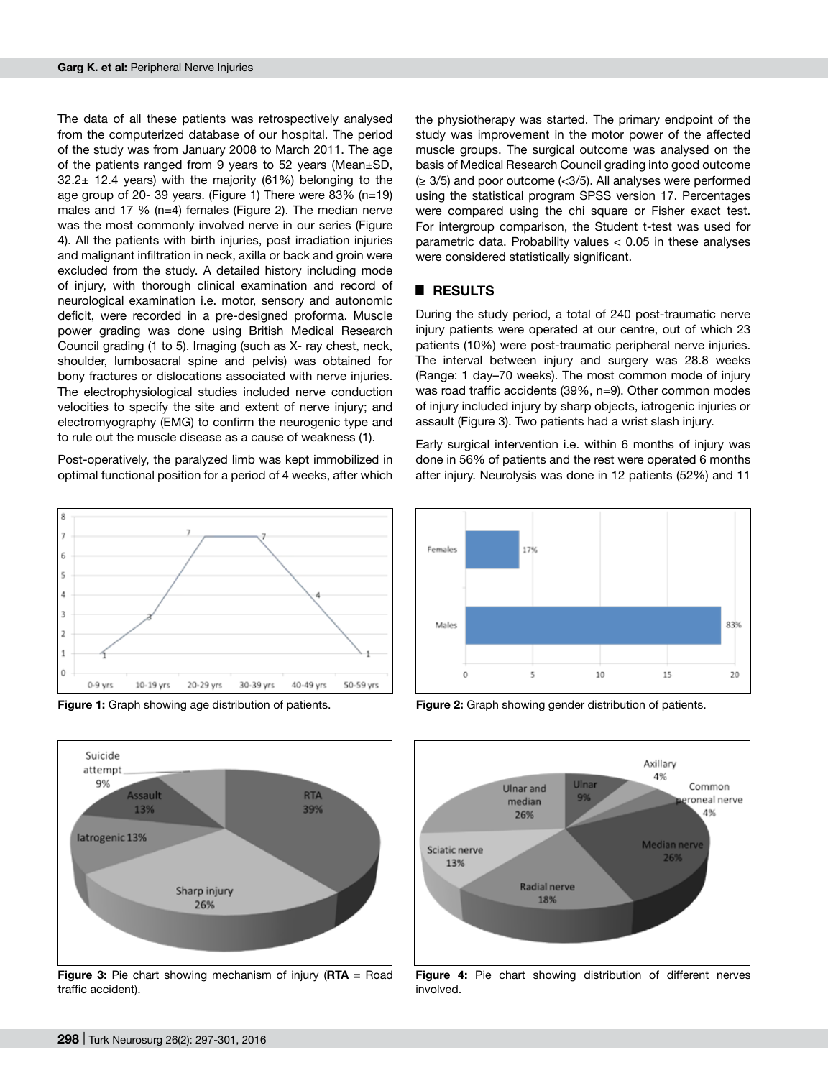The data of all these patients was retrospectively analysed from the computerized database of our hospital. The period of the study was from January 2008 to March 2011. The age of the patients ranged from 9 years to 52 years (Mean±SD,  $32.2\pm$  12.4 years) with the majority (61%) belonging to the age group of 20- 39 years. (Figure 1) There were 83% (n=19) males and 17 % (n=4) females (Figure 2). The median nerve was the most commonly involved nerve in our series (Figure 4). All the patients with birth injuries, post irradiation injuries and malignant infiltration in neck, axilla or back and groin were excluded from the study. A detailed history including mode of injury, with thorough clinical examination and record of neurological examination i.e. motor, sensory and autonomic deficit, were recorded in a pre-designed proforma. Muscle power grading was done using British Medical Research Council grading (1 to 5). Imaging (such as X- ray chest, neck, shoulder, lumbosacral spine and pelvis) was obtained for bony fractures or dislocations associated with nerve injuries. The electrophysiological studies included nerve conduction velocities to specify the site and extent of nerve injury; and electromyography (EMG) to confirm the neurogenic type and to rule out the muscle disease as a cause of weakness (1).

Post-operatively, the paralyzed limb was kept immobilized in optimal functional position for a period of 4 weeks, after which







**Figure 3:** Pie chart showing mechanism of injury (**RTA =** Road traffic accident).

the physiotherapy was started. The primary endpoint of the study was improvement in the motor power of the affected muscle groups. The surgical outcome was analysed on the basis of Medical Research Council grading into good outcome (≥ 3/5) and poor outcome (<3/5). All analyses were performed using the statistical program SPSS version 17. Percentages were compared using the chi square or Fisher exact test. For intergroup comparison, the Student t-test was used for parametric data. Probability values < 0.05 in these analyses were considered statistically significant.

## █ **RESULTS**

During the study period, a total of 240 post-traumatic nerve injury patients were operated at our centre, out of which 23 patients (10%) were post-traumatic peripheral nerve injuries. The interval between injury and surgery was 28.8 weeks (Range: 1 day–70 weeks). The most common mode of injury was road traffic accidents (39%, n=9). Other common modes of injury included injury by sharp objects, iatrogenic injuries or assault (Figure 3). Two patients had a wrist slash injury.

Early surgical intervention i.e. within 6 months of injury was done in 56% of patients and the rest were operated 6 months after injury. Neurolysis was done in 12 patients (52%) and 11



**Figure 1:** Graph showing age distribution of patients. **Figure 2:** Graph showing gender distribution of patients.



**Figure 4:** Pie chart showing distribution of different nerves involved.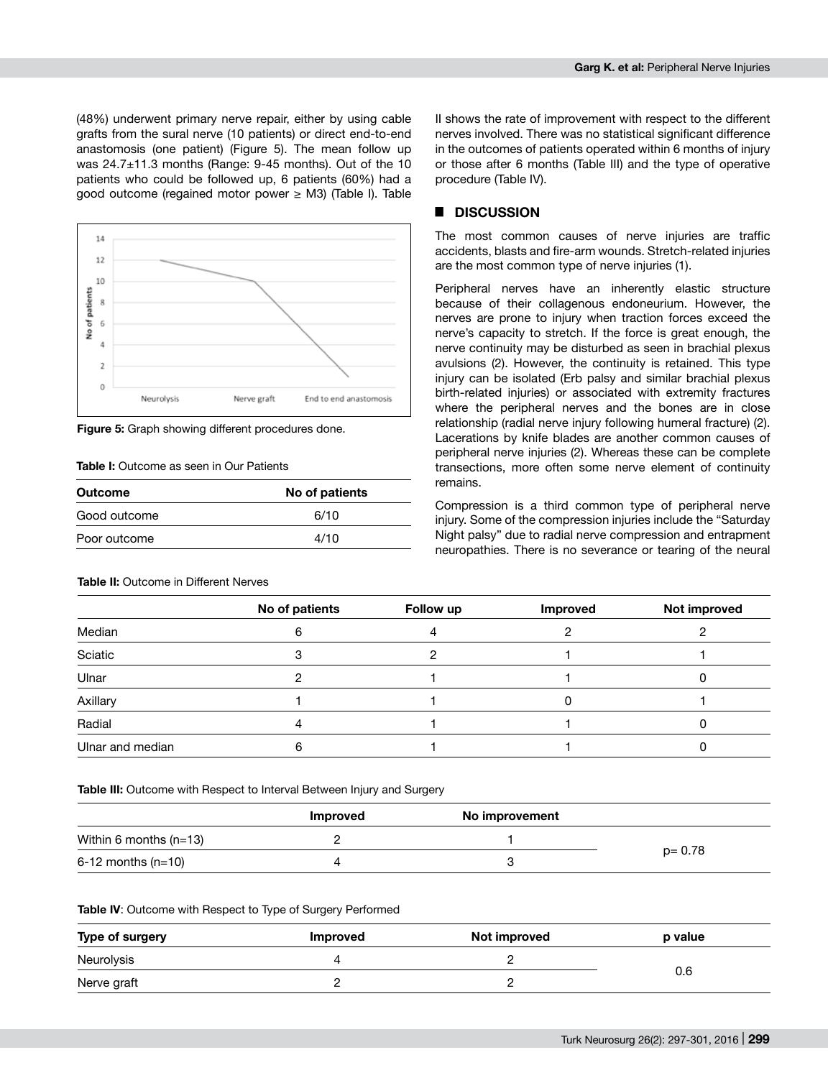(48%) underwent primary nerve repair, either by using cable grafts from the sural nerve (10 patients) or direct end-to-end anastomosis (one patient) (Figure 5). The mean follow up was 24.7±11.3 months (Range: 9-45 months). Out of the 10 patients who could be followed up, 6 patients (60%) had a good outcome (regained motor power ≥ M3) (Table I). Table



**Figure 5:** Graph showing different procedures done.

### **Table I:** Outcome as seen in Our Patients

| Outcome      | No of patients |  |
|--------------|----------------|--|
| Good outcome | 6/10           |  |
| Poor outcome | 4/10           |  |

## **Table II:** Outcome in Different Nerves

II shows the rate of improvement with respect to the different nerves involved. There was no statistical significant difference in the outcomes of patients operated within 6 months of injury or those after 6 months (Table III) and the type of operative procedure (Table IV).

## █ **DISCUSSION**

The most common causes of nerve injuries are traffic accidents, blasts and fire-arm wounds. Stretch-related injuries are the most common type of nerve injuries (1).

Peripheral nerves have an inherently elastic structure because of their collagenous endoneurium. However, the nerves are prone to injury when traction forces exceed the nerve's capacity to stretch. If the force is great enough, the nerve continuity may be disturbed as seen in brachial plexus avulsions (2). However, the continuity is retained. This type injury can be isolated (Erb palsy and similar brachial plexus birth-related injuries) or associated with extremity fractures where the peripheral nerves and the bones are in close relationship (radial nerve injury following humeral fracture) (2). Lacerations by knife blades are another common causes of peripheral nerve injuries (2). Whereas these can be complete transections, more often some nerve element of continuity remains.

Compression is a third common type of peripheral nerve injury. Some of the compression injuries include the "Saturday Night palsy" due to radial nerve compression and entrapment neuropathies. There is no severance or tearing of the neural

|                  | No of patients | Follow up | Improved | Not improved |
|------------------|----------------|-----------|----------|--------------|
| Median           |                |           |          |              |
| Sciatic          |                |           |          |              |
| Ulnar            |                |           |          |              |
| Axillary         |                |           |          |              |
| Radial           |                |           |          |              |
| Ulnar and median |                |           |          |              |

**Table III:** Outcome with Respect to Interval Between Injury and Surgery

|                          | <b>Improved</b> | No improvement |            |
|--------------------------|-----------------|----------------|------------|
| Within 6 months $(n=13)$ |                 |                | $p = 0.78$ |
| $6-12$ months (n=10)     |                 |                |            |

#### **Table IV**: Outcome with Respect to Type of Surgery Performed

| Type of surgery | <b>Improved</b> | Not improved | p value |  |
|-----------------|-----------------|--------------|---------|--|
| Neurolysis      |                 |              | 0.6     |  |
| Nerve graft     |                 |              |         |  |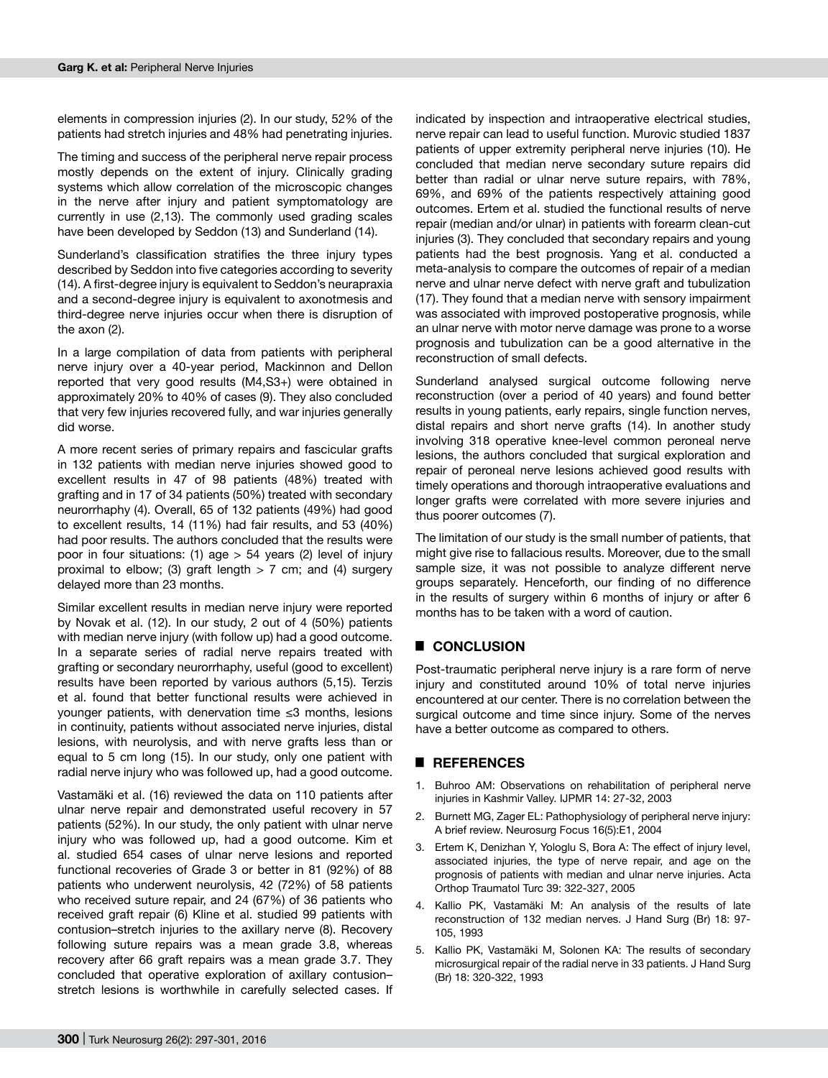elements in compression injuries (2). In our study, 52% of the patients had stretch injuries and 48% had penetrating injuries.

The timing and success of the peripheral nerve repair process mostly depends on the extent of injury. Clinically grading systems which allow correlation of the microscopic changes in the nerve after injury and patient symptomatology are currently in use (2,13). The commonly used grading scales have been developed by Seddon (13) and Sunderland (14).

Sunderland's classification stratifies the three injury types described by Seddon into five categories according to severity (14). A first-degree injury is equivalent to Seddon's neurapraxia and a second-degree injury is equivalent to axonotmesis and third-degree nerve injuries occur when there is disruption of the axon (2).

In a large compilation of data from patients with peripheral nerve injury over a 40-year period, Mackinnon and Dellon reported that very good results (M4,S3+) were obtained in approximately 20% to 40% of cases (9). They also concluded that very few injuries recovered fully, and war injuries generally did worse.

A more recent series of primary repairs and fascicular grafts in 132 patients with median nerve injuries showed good to excellent results in 47 of 98 patients (48%) treated with grafting and in 17 of 34 patients (50%) treated with secondary neurorrhaphy (4). Overall, 65 of 132 patients (49%) had good to excellent results, 14 (11%) had fair results, and 53 (40%) had poor results. The authors concluded that the results were poor in four situations: (1) age  $> 54$  years (2) level of injury proximal to elbow; (3) graft length  $> 7$  cm; and (4) surgery delayed more than 23 months.

Similar excellent results in median nerve injury were reported by Novak et al. (12). In our study, 2 out of 4 (50%) patients with median nerve injury (with follow up) had a good outcome. In a separate series of radial nerve repairs treated with grafting or secondary neurorrhaphy, useful (good to excellent) results have been reported by various authors (5,15). Terzis et al. found that better functional results were achieved in younger patients, with denervation time ≤3 months, lesions in continuity, patients without associated nerve injuries, distal lesions, with neurolysis, and with nerve grafts less than or equal to 5 cm long (15). In our study, only one patient with radial nerve injury who was followed up, had a good outcome.

Vastamäki et al. (16) reviewed the data on 110 patients after ulnar nerve repair and demonstrated useful recovery in 57 patients (52%). In our study, the only patient with ulnar nerve injury who was followed up, had a good outcome. Kim et al. studied 654 cases of ulnar nerve lesions and reported functional recoveries of Grade 3 or better in 81 (92%) of 88 patients who underwent neurolysis, 42 (72%) of 58 patients who received suture repair, and 24 (67%) of 36 patients who received graft repair (6) Kline et al. studied 99 patients with contusion–stretch injuries to the axillary nerve (8). Recovery following suture repairs was a mean grade 3.8, whereas recovery after 66 graft repairs was a mean grade 3.7. They concluded that operative exploration of axillary contusion– stretch lesions is worthwhile in carefully selected cases. If indicated by inspection and intraoperative electrical studies, nerve repair can lead to useful function. Murovic studied 1837 patients of upper extremity peripheral nerve injuries (10). He concluded that median nerve secondary suture repairs did better than radial or ulnar nerve suture repairs, with 78%, 69%, and 69% of the patients respectively attaining good outcomes. Ertem et al. studied the functional results of nerve repair (median and/or ulnar) in patients with forearm clean-cut injuries (3). They concluded that secondary repairs and young patients had the best prognosis. Yang et al. conducted a meta-analysis to compare the outcomes of repair of a median nerve and ulnar nerve defect with nerve graft and tubulization (17). They found that a median nerve with sensory impairment was associated with improved postoperative prognosis, while an ulnar nerve with motor nerve damage was prone to a worse prognosis and tubulization can be a good alternative in the reconstruction of small defects.

Sunderland analysed surgical outcome following nerve reconstruction (over a period of 40 years) and found better results in young patients, early repairs, single function nerves, distal repairs and short nerve grafts (14). In another study involving 318 operative knee-level common peroneal nerve lesions, the authors concluded that surgical exploration and repair of peroneal nerve lesions achieved good results with timely operations and thorough intraoperative evaluations and longer grafts were correlated with more severe injuries and thus poorer outcomes (7).

The limitation of our study is the small number of patients, that might give rise to fallacious results. Moreover, due to the small sample size, it was not possible to analyze different nerve groups separately. Henceforth, our finding of no difference in the results of surgery within 6 months of injury or after 6 months has to be taken with a word of caution.

# █ **CONCLUSION**

Post-traumatic peripheral nerve injury is a rare form of nerve injury and constituted around 10% of total nerve injuries encountered at our center. There is no correlation between the surgical outcome and time since injury. Some of the nerves have a better outcome as compared to others.

## █ **REFERENCES**

- 1. Buhroo AM: Observations on rehabilitation of peripheral nerve injuries in Kashmir Valley. IJPMR 14: 27-32, 2003
- 2. Burnett MG, Zager EL: Pathophysiology of peripheral nerve injury: A brief review. Neurosurg Focus 16(5):E1, 2004
- 3. Ertem K, Denizhan Y, Yologlu S, Bora A: The effect of injury level, associated injuries, the type of nerve repair, and age on the prognosis of patients with median and ulnar nerve injuries. Acta Orthop Traumatol Turc 39: 322-327, 2005
- 4. Kallio PK, Vastamäki M: An analysis of the results of late reconstruction of 132 median nerves. J Hand Surg (Br) 18: 97- 105, 1993
- 5. Kallio PK, Vastamäki M, Solonen KA: The results of secondary microsurgical repair of the radial nerve in 33 patients. J Hand Surg (Br) 18: 320-322, 1993